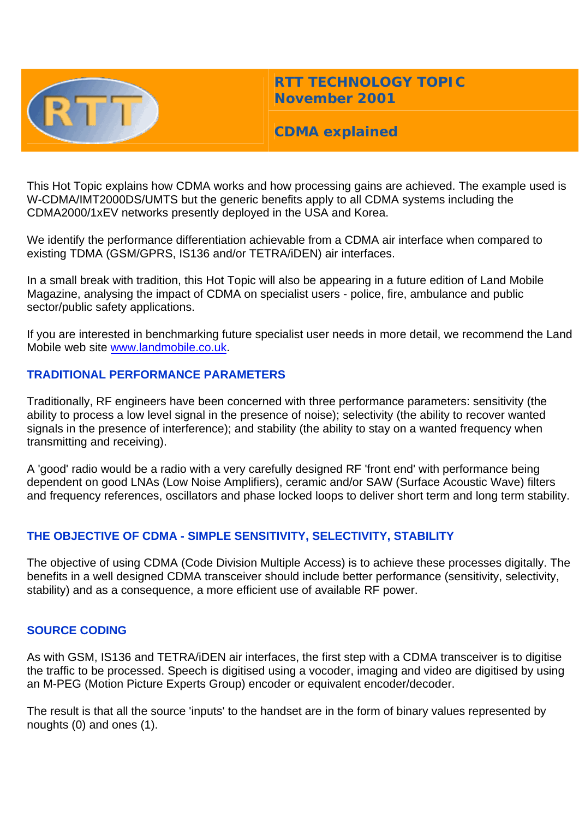

**RTT TECHNOLOGY TOPIC November 2001**

# **CDMA explained**

This Hot Topic explains how CDMA works and how processing gains are achieved. The example used is W-CDMA/IMT2000DS/UMTS but the generic benefits apply to all CDMA systems including the CDMA2000/1xEV networks presently deployed in the USA and Korea.

We identify the performance differentiation achievable from a CDMA air interface when compared to existing TDMA (GSM/GPRS, IS136 and/or TETRA/iDEN) air interfaces.

In a small break with tradition, this Hot Topic will also be appearing in a future edition of Land Mobile Magazine, analysing the impact of CDMA on specialist users - police, fire, ambulance and public sector/public safety applications.

If you are interested in benchmarking future specialist user needs in more detail, we recommend the Land Mobile web site [www.landmobile.co.uk](http://www.landmobile.co.uk/).

# **TRADITIONAL PERFORMANCE PARAMETERS**

Traditionally, RF engineers have been concerned with three performance parameters: sensitivity (the ability to process a low level signal in the presence of noise); selectivity (the ability to recover wanted signals in the presence of interference); and stability (the ability to stay on a wanted frequency when transmitting and receiving).

A 'good' radio would be a radio with a very carefully designed RF 'front end' with performance being dependent on good LNAs (Low Noise Amplifiers), ceramic and/or SAW (Surface Acoustic Wave) filters and frequency references, oscillators and phase locked loops to deliver short term and long term stability.

# **THE OBJECTIVE OF CDMA - SIMPLE SENSITIVITY, SELECTIVITY, STABILITY**

The objective of using CDMA (Code Division Multiple Access) is to achieve these processes digitally. The benefits in a well designed CDMA transceiver should include better performance (sensitivity, selectivity, stability) and as a consequence, a more efficient use of available RF power.

# **SOURCE CODING**

As with GSM, IS136 and TETRA/iDEN air interfaces, the first step with a CDMA transceiver is to digitise the traffic to be processed. Speech is digitised using a vocoder, imaging and video are digitised by using an M-PEG (Motion Picture Experts Group) encoder or equivalent encoder/decoder.

The result is that all the source 'inputs' to the handset are in the form of binary values represented by noughts (0) and ones (1).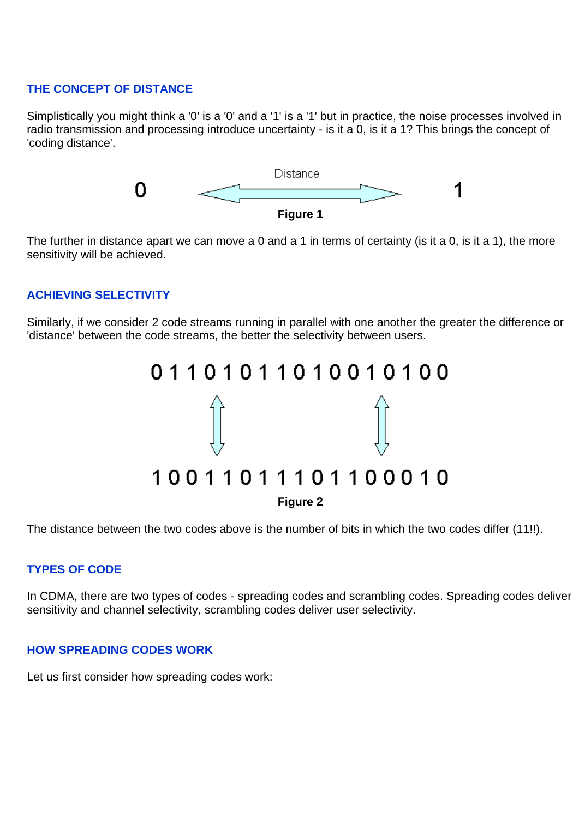# **THE CONCEPT OF DISTANCE**

Simplistically you might think a '0' is a '0' and a '1' is a '1' but in practice, the noise processes involved in radio transmission and processing introduce uncertainty - is it a 0, is it a 1? This brings the concept of 'coding distance'.



The further in distance apart we can move a 0 and a 1 in terms of certainty (is it a 0, is it a 1), the more sensitivity will be achieved.

### **ACHIEVING SELECTIVITY**

Similarly, if we consider 2 code streams running in parallel with one another the greater the difference or 'distance' between the code streams, the better the selectivity between users.



The distance between the two codes above is the number of bits in which the two codes differ (11!!).

#### **TYPES OF CODE**

In CDMA, there are two types of codes - spreading codes and scrambling codes. Spreading codes deliver sensitivity and channel selectivity, scrambling codes deliver user selectivity.

#### **HOW SPREADING CODES WORK**

Let us first consider how spreading codes work: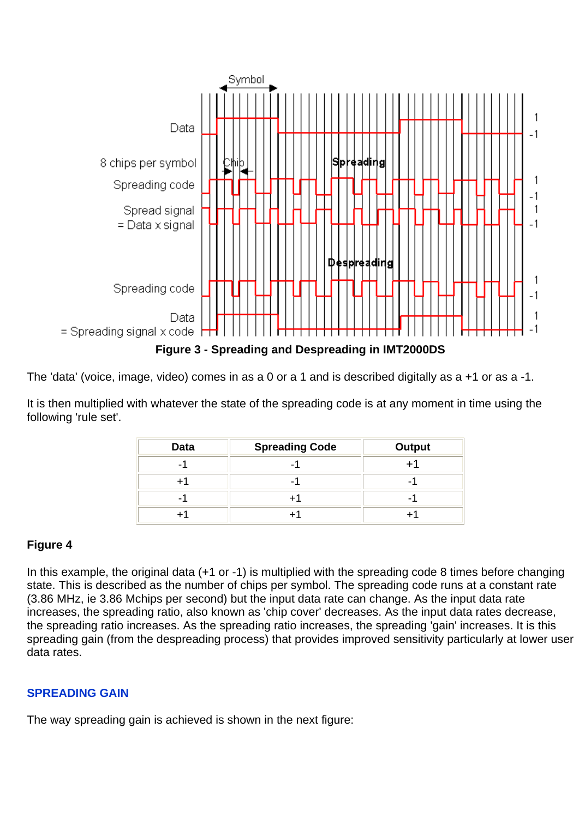

The 'data' (voice, image, video) comes in as a 0 or a 1 and is described digitally as a +1 or as a -1.

It is then multiplied with whatever the state of the spreading code is at any moment in time using the following 'rule set'.

| <b>Data</b> | <b>Spreading Code</b> | Output |  |  |
|-------------|-----------------------|--------|--|--|
|             |                       |        |  |  |
|             |                       |        |  |  |
|             |                       |        |  |  |
|             |                       |        |  |  |

# **Figure 4**

In this example, the original data (+1 or -1) is multiplied with the spreading code 8 times before changing state. This is described as the number of chips per symbol. The spreading code runs at a constant rate (3.86 MHz, ie 3.86 Mchips per second) but the input data rate can change. As the input data rate increases, the spreading ratio, also known as 'chip cover' decreases. As the input data rates decrease, the spreading ratio increases. As the spreading ratio increases, the spreading 'gain' increases. It is this spreading gain (from the despreading process) that provides improved sensitivity particularly at lower user data rates.

# **SPREADING GAIN**

The way spreading gain is achieved is shown in the next figure: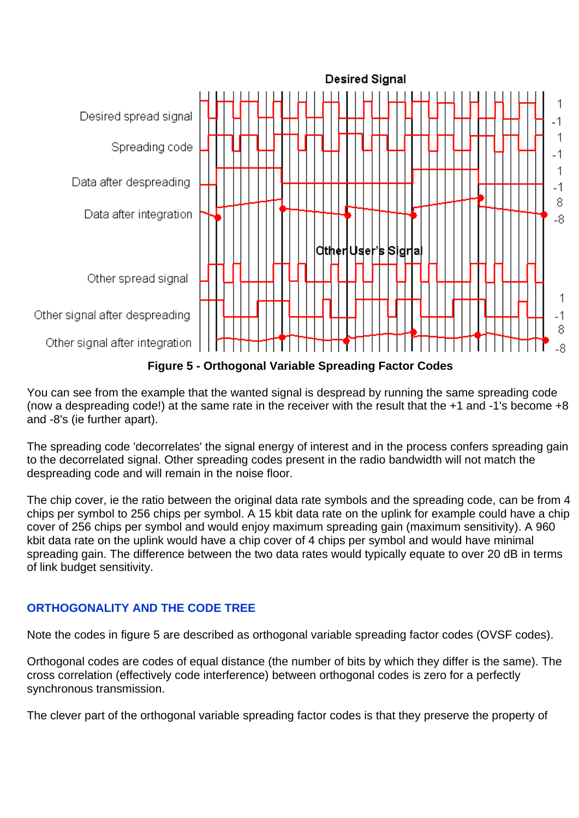

**Figure 5 - Orthogonal Variable Spreading Factor Codes**

You can see from the example that the wanted signal is despread by running the same spreading code (now a despreading code!) at the same rate in the receiver with the result that the +1 and -1's become +8 and -8's (ie further apart).

The spreading code 'decorrelates' the signal energy of interest and in the process confers spreading gain to the decorrelated signal. Other spreading codes present in the radio bandwidth will not match the despreading code and will remain in the noise floor.

The chip cover, ie the ratio between the original data rate symbols and the spreading code, can be from 4 chips per symbol to 256 chips per symbol. A 15 kbit data rate on the uplink for example could have a chip cover of 256 chips per symbol and would enjoy maximum spreading gain (maximum sensitivity). A 960 kbit data rate on the uplink would have a chip cover of 4 chips per symbol and would have minimal spreading gain. The difference between the two data rates would typically equate to over 20 dB in terms of link budget sensitivity.

# **ORTHOGONALITY AND THE CODE TREE**

Note the codes in figure 5 are described as orthogonal variable spreading factor codes (OVSF codes).

Orthogonal codes are codes of equal distance (the number of bits by which they differ is the same). The cross correlation (effectively code interference) between orthogonal codes is zero for a perfectly synchronous transmission.

The clever part of the orthogonal variable spreading factor codes is that they preserve the property of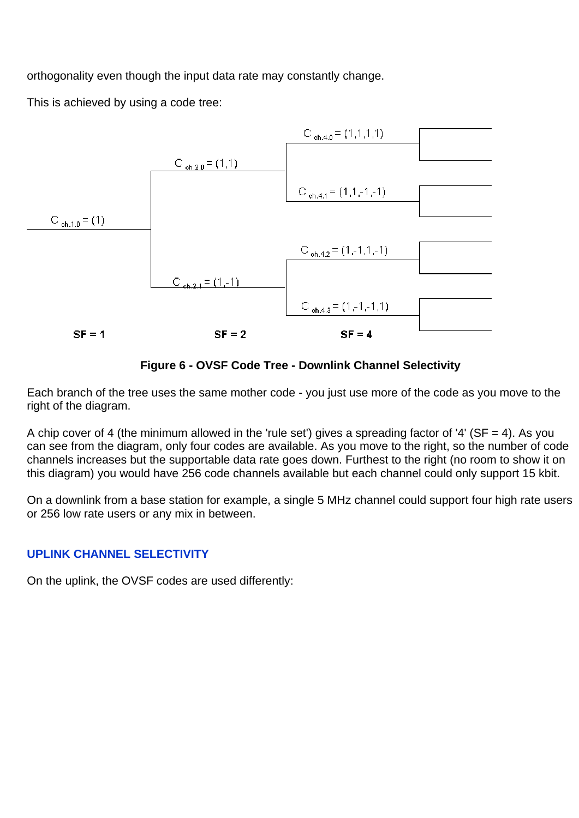orthogonality even though the input data rate may constantly change.

This is achieved by using a code tree:



**Figure 6 - OVSF Code Tree - Downlink Channel Selectivity**

Each branch of the tree uses the same mother code - you just use more of the code as you move to the right of the diagram.

A chip cover of 4 (the minimum allowed in the 'rule set') gives a spreading factor of '4' (SF = 4). As you can see from the diagram, only four codes are available. As you move to the right, so the number of code channels increases but the supportable data rate goes down. Furthest to the right (no room to show it on this diagram) you would have 256 code channels available but each channel could only support 15 kbit.

On a downlink from a base station for example, a single 5 MHz channel could support four high rate users or 256 low rate users or any mix in between.

# **UPLINK CHANNEL SELECTIVITY**

On the uplink, the OVSF codes are used differently: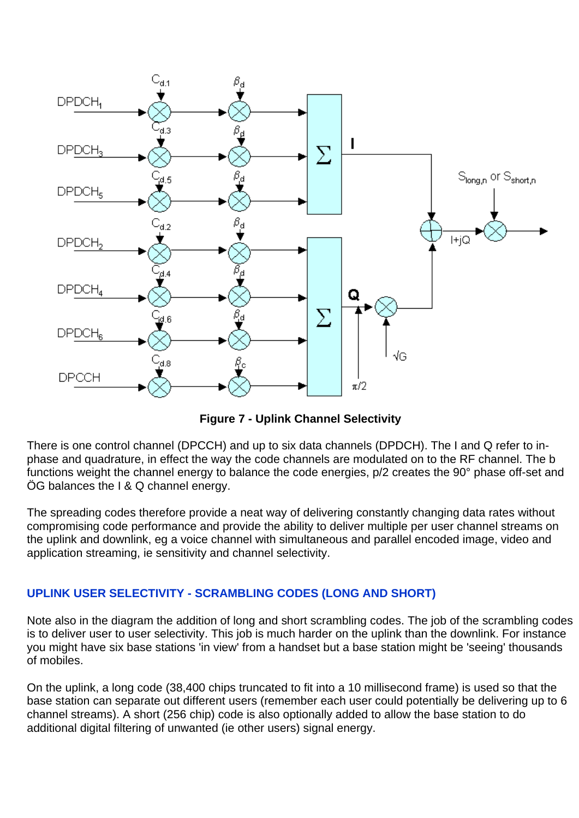

**Figure 7 - Uplink Channel Selectivity**

There is one control channel (DPCCH) and up to six data channels (DPDCH). The I and Q refer to inphase and quadrature, in effect the way the code channels are modulated on to the RF channel. The b functions weight the channel energy to balance the code energies, p/2 creates the 90° phase off-set and ÖG balances the I & Q channel energy.

The spreading codes therefore provide a neat way of delivering constantly changing data rates without compromising code performance and provide the ability to deliver multiple per user channel streams on the uplink and downlink, eg a voice channel with simultaneous and parallel encoded image, video and application streaming, ie sensitivity and channel selectivity.

# **UPLINK USER SELECTIVITY - SCRAMBLING CODES (LONG AND SHORT)**

Note also in the diagram the addition of long and short scrambling codes. The job of the scrambling codes is to deliver user to user selectivity. This job is much harder on the uplink than the downlink. For instance you might have six base stations 'in view' from a handset but a base station might be 'seeing' thousands of mobiles.

On the uplink, a long code (38,400 chips truncated to fit into a 10 millisecond frame) is used so that the base station can separate out different users (remember each user could potentially be delivering up to 6 channel streams). A short (256 chip) code is also optionally added to allow the base station to do additional digital filtering of unwanted (ie other users) signal energy.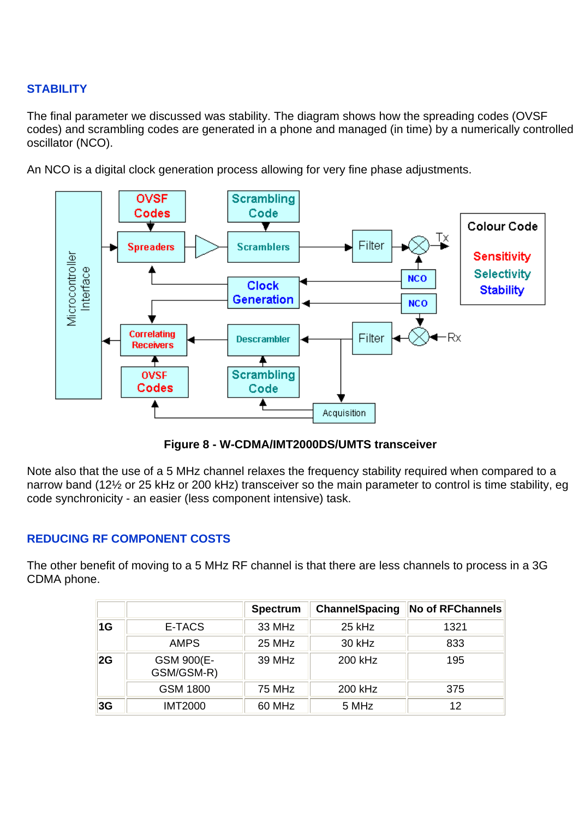# **STABILITY**

The final parameter we discussed was stability. The diagram shows how the spreading codes (OVSF codes) and scrambling codes are generated in a phone and managed (in time) by a numerically controlled oscillator (NCO).

An NCO is a digital clock generation process allowing for very fine phase adjustments.



**Figure 8 - W-CDMA/IMT2000DS/UMTS transceiver**

Note also that the use of a 5 MHz channel relaxes the frequency stability required when compared to a narrow band (12½ or 25 kHz or 200 kHz) transceiver so the main parameter to control is time stability, eg code synchronicity - an easier (less component intensive) task.

# **REDUCING RF COMPONENT COSTS**

The other benefit of moving to a 5 MHz RF channel is that there are less channels to process in a 3G CDMA phone.

|    |                          | <b>Spectrum</b> | <b>ChannelSpacing</b> | No of RFChannels |
|----|--------------------------|-----------------|-----------------------|------------------|
| 1G | E-TACS                   | 33 MHz          | 25 kHz                | 1321             |
|    | <b>AMPS</b>              | 25 MHz          | 30 kHz                | 833              |
| 2G | GSM 900(E-<br>GSM/GSM-R) | 39 MHz          | 200 kHz               | 195              |
|    | <b>GSM 1800</b>          | 75 MHz          | 200 kHz               | 375              |
| 3G | <b>IMT2000</b>           | 60 MHz          | 5 MHz                 | 12               |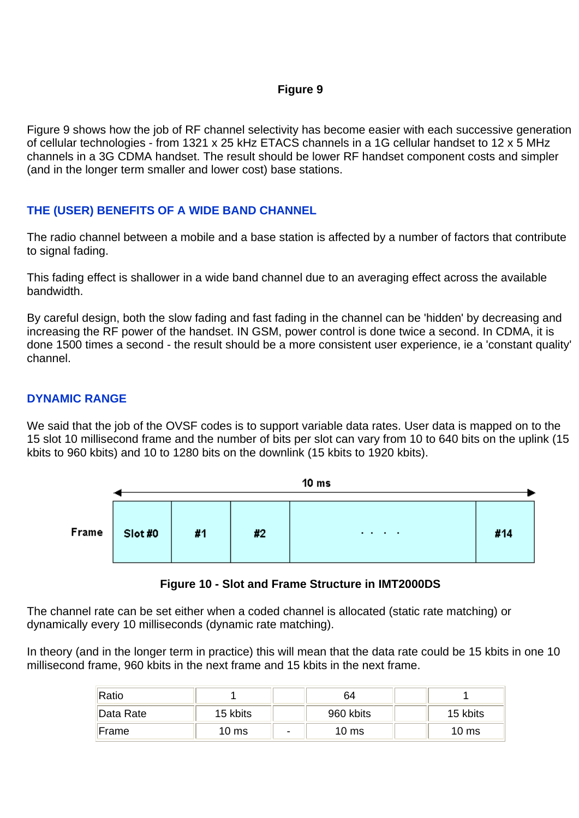# **Figure 9**

Figure 9 shows how the job of RF channel selectivity has become easier with each successive generation of cellular technologies - from 1321 x 25 kHz ETACS channels in a 1G cellular handset to 12 x 5 MHz channels in a 3G CDMA handset. The result should be lower RF handset component costs and simpler (and in the longer term smaller and lower cost) base stations.

# **THE (USER) BENEFITS OF A WIDE BAND CHANNEL**

The radio channel between a mobile and a base station is affected by a number of factors that contribute to signal fading.

This fading effect is shallower in a wide band channel due to an averaging effect across the available bandwidth.

By careful design, both the slow fading and fast fading in the channel can be 'hidden' by decreasing and increasing the RF power of the handset. IN GSM, power control is done twice a second. In CDMA, it is done 1500 times a second - the result should be a more consistent user experience, ie a 'constant quality' channel.

# **DYNAMIC RANGE**

We said that the job of the OVSF codes is to support variable data rates. User data is mapped on to the 15 slot 10 millisecond frame and the number of bits per slot can vary from 10 to 640 bits on the uplink (15 kbits to 960 kbits) and 10 to 1280 bits on the downlink (15 kbits to 1920 kbits).



### **Figure 10 - Slot and Frame Structure in IMT2000DS**

The channel rate can be set either when a coded channel is allocated (static rate matching) or dynamically every 10 milliseconds (dynamic rate matching).

In theory (and in the longer term in practice) this will mean that the data rate could be 15 kbits in one 10 millisecond frame, 960 kbits in the next frame and 15 kbits in the next frame.

| Ratio        |                  |   | 64              |                  |
|--------------|------------------|---|-----------------|------------------|
| Data Rate    | 15 kbits         |   | 960 kbits       | 15 kbits         |
| <b>Frame</b> | 10 <sub>ms</sub> | - | $10 \text{ ms}$ | $10 \mathrm{ms}$ |